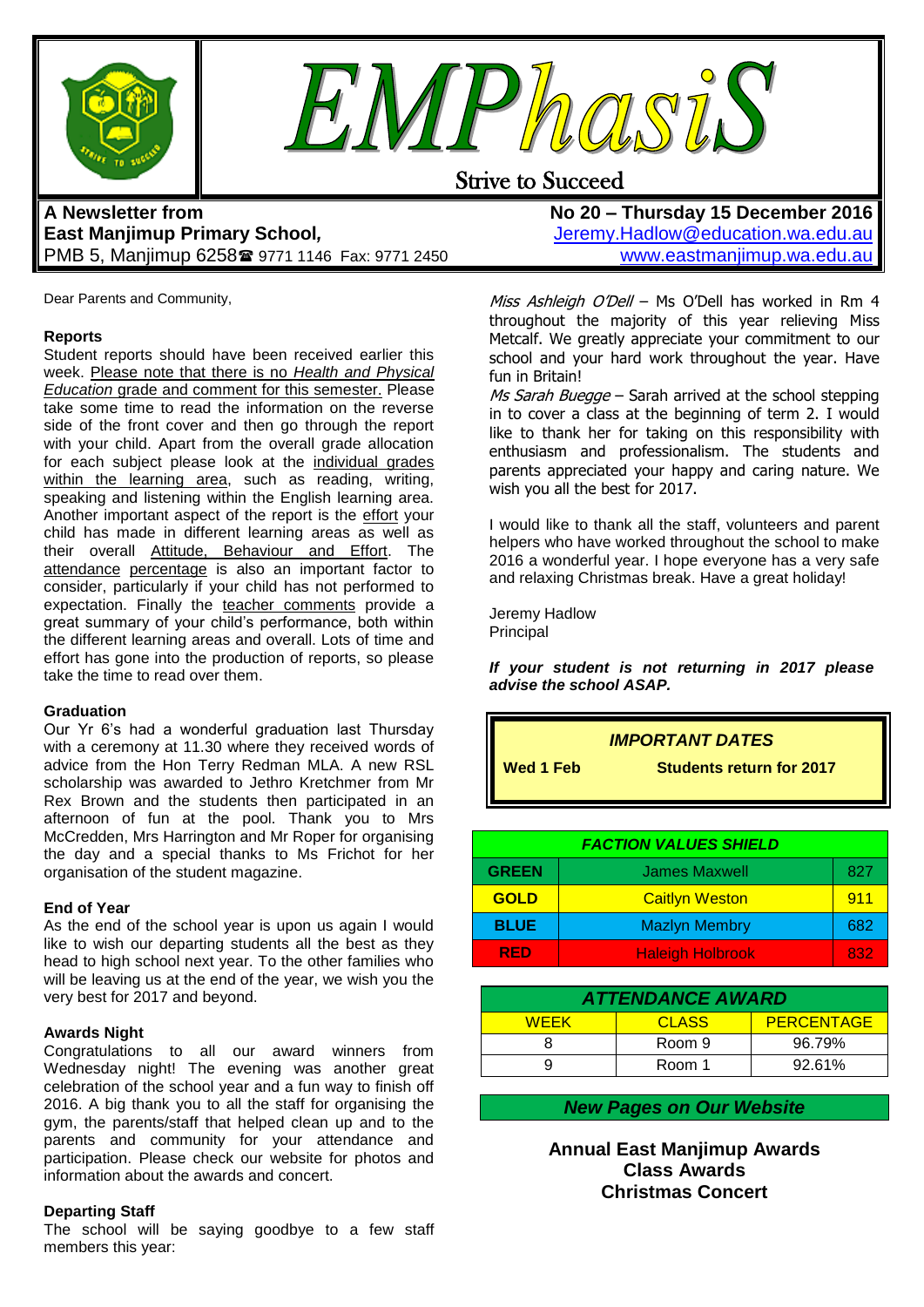



## Strive to Succeed

## **A Newsletter from East Manjimup Primary School***,*  PMB 5, Manjimup 6258 9771 1146 Fax: 9771 2450

**No 20 – Thursday 15 December 2016** [Jeremy.Hadlow@education.wa.edu.au](mailto:Jeremy.Hadlow@education.wa.edu.au) [www.eastmanjimup.wa.edu.au](http://www.eastmanjimup.wa.edu.au/)

Dear Parents and Community,

## **Reports**

Student reports should have been received earlier this week. Please note that there is no *Health and Physical Education* grade and comment for this semester. Please take some time to read the information on the reverse side of the front cover and then go through the report with your child. Apart from the overall grade allocation for each subject please look at the individual grades within the learning area, such as reading, writing, speaking and listening within the English learning area. Another important aspect of the report is the effort your child has made in different learning areas as well as their overall Attitude, Behaviour and Effort. The attendance percentage is also an important factor to consider, particularly if your child has not performed to expectation. Finally the teacher comments provide a great summary of your child"s performance, both within the different learning areas and overall. Lots of time and effort has gone into the production of reports, so please take the time to read over them.

## **Graduation**

Our Yr 6's had a wonderful graduation last Thursday with a ceremony at 11.30 where they received words of advice from the Hon Terry Redman MLA. A new RSL scholarship was awarded to Jethro Kretchmer from Mr Rex Brown and the students then participated in an afternoon of fun at the pool. Thank you to Mrs McCredden, Mrs Harrington and Mr Roper for organising the day and a special thanks to Ms Frichot for her organisation of the student magazine.

#### **End of Year**

As the end of the school year is upon us again I would like to wish our departing students all the best as they head to high school next year. To the other families who will be leaving us at the end of the year, we wish you the very best for 2017 and beyond.

#### **Awards Night**

Congratulations to all our award winners from Wednesday night! The evening was another great celebration of the school year and a fun way to finish off 2016. A big thank you to all the staff for organising the gym, the parents/staff that helped clean up and to the parents and community for your attendance and participation. Please check our website for photos and information about the awards and concert.

## **Departing Staff**

The school will be saying goodbye to a few staff members this year:

Miss Ashleigh O'Dell - Ms O'Dell has worked in Rm 4 throughout the majority of this year relieving Miss Metcalf. We greatly appreciate your commitment to our school and your hard work throughout the year. Have fun in Britain!

Ms Sarah Buegge - Sarah arrived at the school stepping in to cover a class at the beginning of term 2. I would like to thank her for taking on this responsibility with enthusiasm and professionalism. The students and parents appreciated your happy and caring nature. We wish you all the best for 2017.

I would like to thank all the staff, volunteers and parent helpers who have worked throughout the school to make 2016 a wonderful year. I hope everyone has a very safe and relaxing Christmas break. Have a great holiday!

Jeremy Hadlow **Principal** 

*If your student is not returning in 2017 please advise the school ASAP.*

|                  | <b>IMPORTANT DATES</b>          |
|------------------|---------------------------------|
| <b>Wed 1 Feb</b> | <b>Students return for 2017</b> |
|                  |                                 |

| <b>FACTION VALUES SHIELD</b> |                         |     |
|------------------------------|-------------------------|-----|
| <b>GREEN</b>                 | <b>James Maxwell</b>    | 827 |
| <b>GOLD</b>                  | <b>Caitlyn Weston</b>   | 911 |
| <b>BLUE</b>                  | <b>Mazlyn Membry</b>    | 682 |
| <b>RED</b>                   | <b>Haleigh Holbrook</b> | 832 |

| <b>ATTENDANCE AWARD</b> |        |                   |  |  |
|-------------------------|--------|-------------------|--|--|
| <b>WFFK</b>             | CLASS  | <b>PERCENTAGE</b> |  |  |
|                         | Room 9 | 96.79%            |  |  |
|                         | Room 1 | 92.61%            |  |  |

## *New Pages on Our Website*

**Annual East Manjimup Awards Class Awards Christmas Concert**